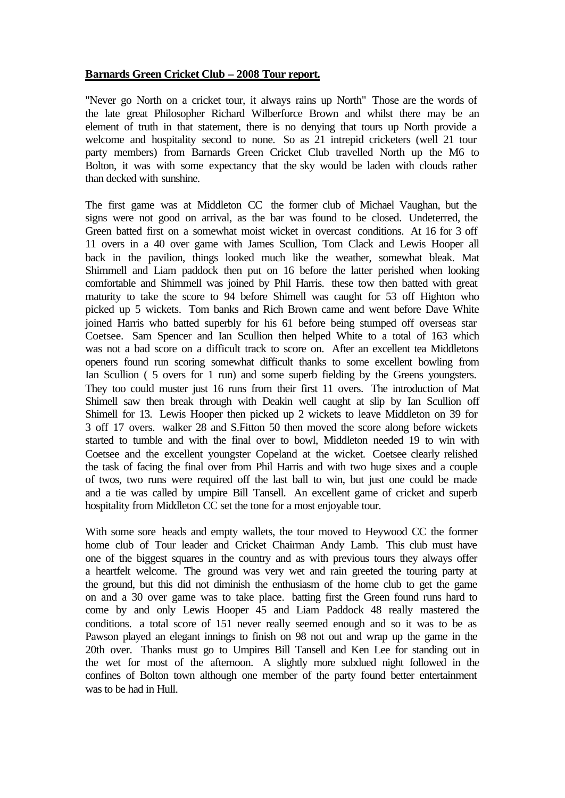## **Barnards Green Cricket Club – 2008 Tour report.**

"Never go North on a cricket tour, it always rains up North" Those are the words of the late great Philosopher Richard Wilberforce Brown and whilst there may be an element of truth in that statement, there is no denying that tours up North provide a welcome and hospitality second to none. So as 21 intrepid cricketers (well 21 tour party members) from Barnards Green Cricket Club travelled North up the M6 to Bolton, it was with some expectancy that the sky would be laden with clouds rather than decked with sunshine.

The first game was at Middleton CC the former club of Michael Vaughan, but the signs were not good on arrival, as the bar was found to be closed. Undeterred, the Green batted first on a somewhat moist wicket in overcast conditions. At 16 for 3 off 11 overs in a 40 over game with James Scullion, Tom Clack and Lewis Hooper all back in the pavilion, things looked much like the weather, somewhat bleak. Mat Shimmell and Liam paddock then put on 16 before the latter perished when looking comfortable and Shimmell was joined by Phil Harris. these tow then batted with great maturity to take the score to 94 before Shimell was caught for 53 off Highton who picked up 5 wickets. Tom banks and Rich Brown came and went before Dave White joined Harris who batted superbly for his 61 before being stumped off overseas star Coetsee. Sam Spencer and Ian Scullion then helped White to a total of 163 which was not a bad score on a difficult track to score on. After an excellent tea Middletons openers found run scoring somewhat difficult thanks to some excellent bowling from Ian Scullion ( 5 overs for 1 run) and some superb fielding by the Greens youngsters. They too could muster just 16 runs from their first 11 overs. The introduction of Mat Shimell saw then break through with Deakin well caught at slip by Ian Scullion off Shimell for 13. Lewis Hooper then picked up 2 wickets to leave Middleton on 39 for 3 off 17 overs. walker 28 and S.Fitton 50 then moved the score along before wickets started to tumble and with the final over to bowl, Middleton needed 19 to win with Coetsee and the excellent youngster Copeland at the wicket. Coetsee clearly relished the task of facing the final over from Phil Harris and with two huge sixes and a couple of twos, two runs were required off the last ball to win, but just one could be made and a tie was called by umpire Bill Tansell. An excellent game of cricket and superb hospitality from Middleton CC set the tone for a most enjoyable tour.

With some sore heads and empty wallets, the tour moved to Heywood CC the former home club of Tour leader and Cricket Chairman Andy Lamb. This club must have one of the biggest squares in the country and as with previous tours they always offer a heartfelt welcome. The ground was very wet and rain greeted the touring party at the ground, but this did not diminish the enthusiasm of the home club to get the game on and a 30 over game was to take place. batting first the Green found runs hard to come by and only Lewis Hooper 45 and Liam Paddock 48 really mastered the conditions. a total score of 151 never really seemed enough and so it was to be as Pawson played an elegant innings to finish on 98 not out and wrap up the game in the 20th over. Thanks must go to Umpires Bill Tansell and Ken Lee for standing out in the wet for most of the afternoon. A slightly more subdued night followed in the confines of Bolton town although one member of the party found better entertainment was to be had in Hull.